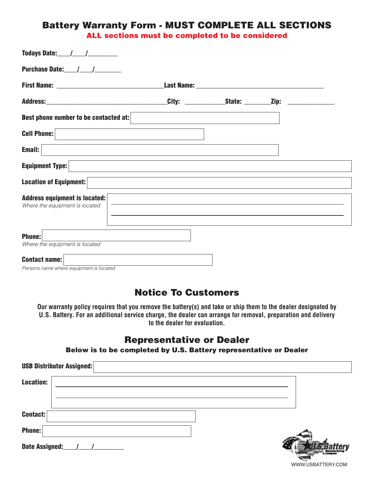### Battery Warranty Form - MUST COMPLETE ALL SECTIONS

ALL sections must be completed to be considered

| Best phone number to be contacted at:                           |  |  |
|-----------------------------------------------------------------|--|--|
| <b>Cell Phone:</b>                                              |  |  |
| Email:                                                          |  |  |
| <b>Equipment Type:</b>                                          |  |  |
| <b>Location of Equipment:</b>                                   |  |  |
| Address equipment is located:<br>Where the equipment is located |  |  |
| Phone:<br>Where the equipment is located                        |  |  |
| <b>Contact name:</b><br>Persons name where equipment is located |  |  |

### Notice To Customers

**Our warranty policy requires that you remove the battery(s) and take or ship them to the dealer designated by U.S. Battery. For an additional service charge, the dealer can arrange for removal, preparation and delivery to the dealer for evaluation.**

### Representative or Dealer

Below is to be completed by U.S. Battery representative or Dealer

| <b>USB Distributor Assigned:</b> |  |
|----------------------------------|--|
| <b>Location:</b>                 |  |
|                                  |  |
| Contact:                         |  |
| <b>Phone:</b>                    |  |
| Date Assigned:                   |  |

WWW.USBATTERY.COM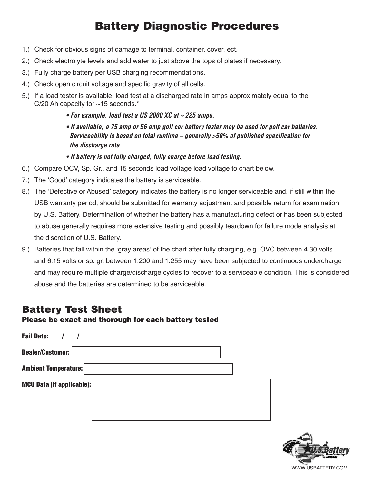# Battery Diagnostic Procedures

- 1.) Check for obvious signs of damage to terminal, container, cover, ect.
- 2.) Check electrolyte levels and add water to just above the tops of plates if necessary.
- 3.) Fully charge battery per USB charging recommendations.
- 4.) Check open circuit voltage and specific gravity of all cells.
- 5.) If a load tester is available, load test at a discharged rate in amps approximately equal to the C/20 Ah capacity for  $~15$  seconds.\*
	- **For example, load test a US 2000 XC at ~ 225 amps.**

**• If available, a 75 amp or 56 amp golf car battery tester may be used for golf car batteries. Serviceability is based on total runtime – generally >50% of published specification for the discharge rate.**

**• If battery is not fully charged, fully charge before load testing.**

- 6.) Compare OCV, Sp. Gr., and 15 seconds load voltage load voltage to chart below.
- 7.) The 'Good' category indicates the battery is serviceable.
- 8.) The 'Defective or Abused' category indicates the battery is no longer serviceable and, if still within the USB warranty period, should be submitted for warranty adjustment and possible return for examination by U.S. Battery. Determination of whether the battery has a manufacturing defect or has been subjected to abuse generally requires more extensive testing and possibly teardown for failure mode analysis at the discretion of U.S. Battery.
- 9.) Batteries that fall within the 'gray areas' of the chart after fully charging, e.g. OVC between 4.30 volts and 6.15 volts or sp. gr. between 1.200 and 1.255 may have been subjected to continuous undercharge and may require multiple charge/discharge cycles to recover to a serviceable condition. This is considered abuse and the batteries are determined to be serviceable.

# Battery Test Sheet

#### Please be exact and thorough for each battery tested

| <b>Fail Date:</b>                |  |
|----------------------------------|--|
| Dealer/Customer:                 |  |
| <b>Ambient Temperature:</b>      |  |
| <b>MCU Data (if applicable):</b> |  |
|                                  |  |
|                                  |  |

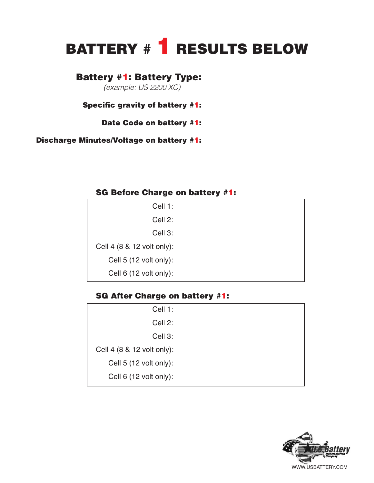# BATTERY # 1 RESULTS BELOW

## Battery #1: Battery Type:

(example: US 2200 XC)

Specific gravity of battery #1:

Date Code on battery #1:

Discharge Minutes/Voltage on battery #1:

#### SG Before Charge on battery #1:

| Cell 1:                    |
|----------------------------|
| Cell 2:                    |
| Cell 3:                    |
| Cell 4 (8 & 12 volt only): |
| Cell 5 (12 volt only):     |
| Cell 6 (12 volt only):     |

#### SG After Charge on battery #1:

| Cell 1:                    |  |
|----------------------------|--|
| Cell 2:                    |  |
| Cell 3:                    |  |
| Cell 4 (8 & 12 volt only): |  |
| Cell 5 (12 volt only):     |  |
| Cell 6 (12 volt only):     |  |
|                            |  |

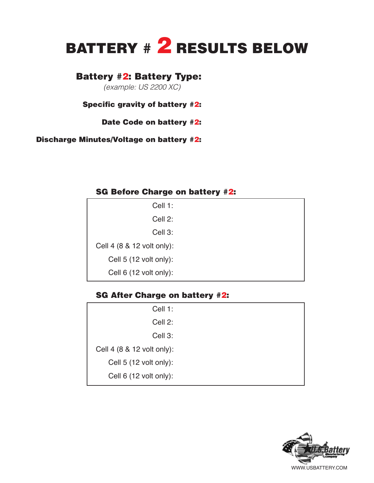# BATTERY # 2 RESULTS BELOW

### Battery #2: Battery Type:

(example: US 2200 XC)

Specific gravity of battery #2:

Date Code on battery #2:

Discharge Minutes/Voltage on battery #2:

#### SG Before Charge on battery #2:

| Cell 1:                    |  |
|----------------------------|--|
| Cell 2:                    |  |
| Cell 3:                    |  |
| Cell 4 (8 & 12 volt only): |  |
| Cell 5 (12 volt only):     |  |
| Cell 6 (12 volt only):     |  |

#### SG After Charge on battery #2:

| Cell 1:                    |  |
|----------------------------|--|
| Cell 2:                    |  |
| Cell 3:                    |  |
| Cell 4 (8 & 12 volt only): |  |
| Cell 5 (12 volt only):     |  |
| Cell 6 (12 volt only):     |  |
|                            |  |

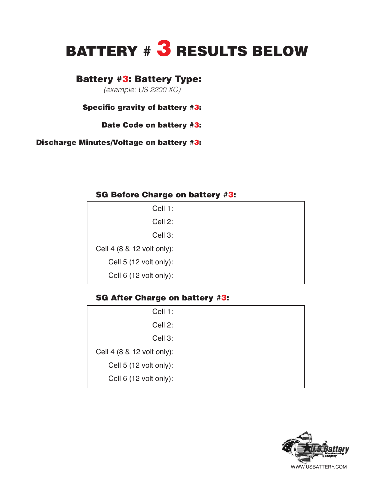# BATTERY # 3 RESULTS BELOW

### Battery #3: Battery Type:

(example: US 2200 XC)

#### Specific gravity of battery #3:

Date Code on battery #3:

Discharge Minutes/Voltage on battery #3:

#### SG Before Charge on battery #3:

| Cell 1:                    |
|----------------------------|
| Cell 2:                    |
| Cell 3:                    |
| Cell 4 (8 & 12 volt only): |
| Cell 5 (12 volt only):     |
| Cell 6 (12 volt only):     |

#### SG After Charge on battery #3:

| Cell 1:                    |  |
|----------------------------|--|
| Cell 2:                    |  |
| Cell 3:                    |  |
| Cell 4 (8 & 12 volt only): |  |
| Cell 5 (12 volt only):     |  |
| Cell 6 (12 volt only):     |  |
|                            |  |

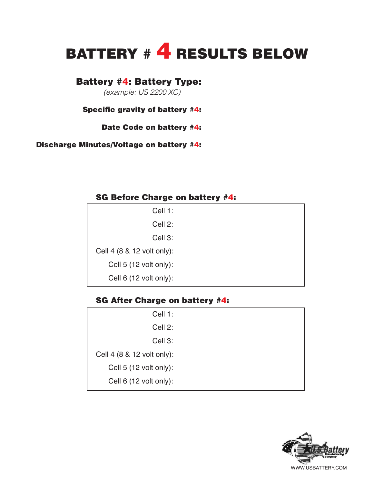# BATTERY # 4 RESULTS BELOW

## Battery #4: Battery Type:

(example: US 2200 XC)

#### Specific gravity of battery #4:

Date Code on battery #4:

Discharge Minutes/Voltage on battery #4:

#### SG Before Charge on battery #4:

| Cell 1:                    |  |
|----------------------------|--|
| Cell 2:                    |  |
| Cell 3:                    |  |
| Cell 4 (8 & 12 volt only): |  |
| Cell $5(12$ volt only):    |  |
| Cell $6(12$ volt only):    |  |

#### SG After Charge on battery #4:

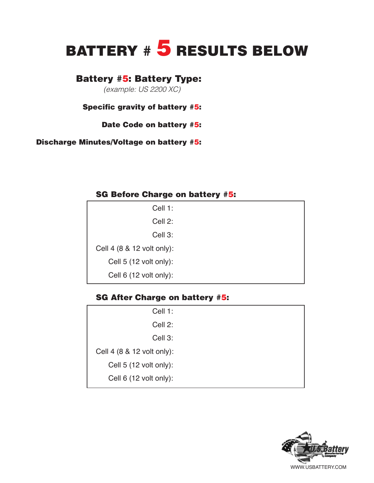# BATTERY # 5 RESULTS BELOW

### Battery #5: Battery Type:

(example: US 2200 XC)

#### Specific gravity of battery #5:

Date Code on battery #5:

Discharge Minutes/Voltage on battery #5:

#### SG Before Charge on battery #5:

| Cell 1:                    |  |
|----------------------------|--|
| Cell 2:                    |  |
| Cell 3:                    |  |
| Cell 4 (8 & 12 volt only): |  |
| Cell 5 (12 volt only):     |  |
| Cell 6 (12 volt only):     |  |

#### SG After Charge on battery #5:

| Cell 1:                    |
|----------------------------|
| Cell 2:                    |
| Cell 3:                    |
| Cell 4 (8 & 12 volt only): |
| Cell 5 (12 volt only):     |
| Cell 6 (12 volt only):     |
|                            |

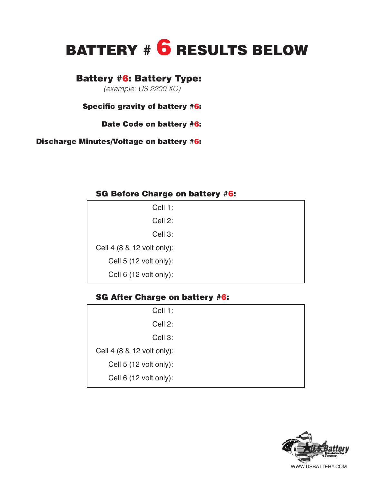# BATTERY # 6 RESULTS BELOW

### Battery #6: Battery Type:

(example: US 2200 XC)

#### Specific gravity of battery #6:

Date Code on battery #6:

Discharge Minutes/Voltage on battery #6:

#### SG Before Charge on battery #6:

| Cell 1:                    |
|----------------------------|
| Cell 2:                    |
| Cell 3:                    |
| Cell 4 (8 & 12 volt only): |
| Cell 5 (12 volt only):     |
| Cell 6 (12 volt only):     |

#### SG After Charge on battery #6:

| Cell 1:                    |  |
|----------------------------|--|
| Cell 2:                    |  |
| Cell 3:                    |  |
| Cell 4 (8 & 12 volt only): |  |
| Cell 5 (12 volt only):     |  |
| Cell 6 (12 volt only):     |  |
|                            |  |

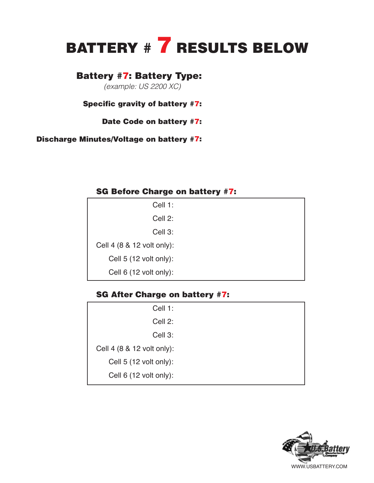# BATTERY # **7** RESULTS BELOW

### Battery #7: Battery Type:

(example: US 2200 XC)

Specific gravity of battery #7:

Date Code on battery #7:

Discharge Minutes/Voltage on battery #7:

#### SG Before Charge on battery #7:

#### SG After Charge on battery #7:

| Cell 1:                    |  |
|----------------------------|--|
| Cell 2:                    |  |
| Cell 3:                    |  |
| Cell 4 (8 & 12 volt only): |  |
| Cell 5 (12 volt only):     |  |
| Cell 6 (12 volt only):     |  |
|                            |  |

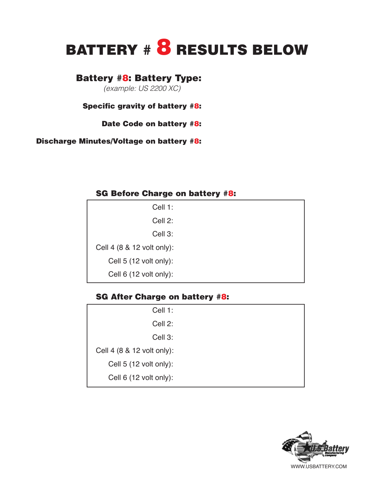# BATTERY # 8 RESULTS BELOW

# Battery #8: Battery Type:

(example: US 2200 XC)

Specific gravity of battery #8:

Date Code on battery #8:

Discharge Minutes/Voltage on battery #8:

#### SG Before Charge on battery #8:

| Cell 1:                    |
|----------------------------|
| Cell 2:                    |
| Cell 3:                    |
| Cell 4 (8 & 12 volt only): |
| Cell 5 (12 volt only):     |
| Cell 6 (12 volt only):     |

#### SG After Charge on battery #8:

| Cell 1:                    |  |
|----------------------------|--|
| Cell 2:                    |  |
| Cell 3:                    |  |
| Cell 4 (8 & 12 volt only): |  |
| Cell 5 (12 volt only):     |  |
| Cell 6 (12 volt only):     |  |
|                            |  |

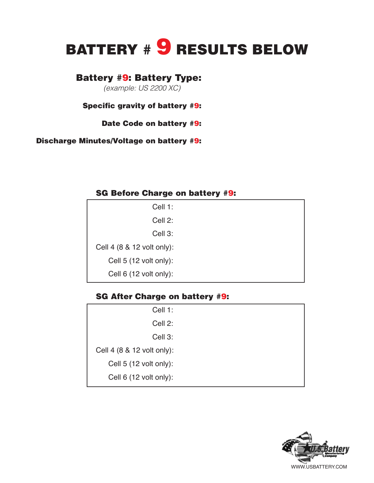# BATTERY # 9 RESULTS BELOW

# Battery #9: Battery Type:

(example: US 2200 XC)

Specific gravity of battery #9:

Date Code on battery #9:

Discharge Minutes/Voltage on battery #9:

#### SG Before Charge on battery #9:

| Cell 1:                    |
|----------------------------|
| Cell 2:                    |
| Cell 3:                    |
| Cell 4 (8 & 12 volt only): |
| Cell 5 (12 volt only):     |
| Cell 6 (12 volt only):     |

#### SG After Charge on battery #9:

| Cell 1:                    |  |
|----------------------------|--|
| Cell 2:                    |  |
| Cell 3:                    |  |
| Cell 4 (8 & 12 volt only): |  |
| Cell 5 (12 volt only):     |  |
| Cell 6 (12 volt only):     |  |
|                            |  |

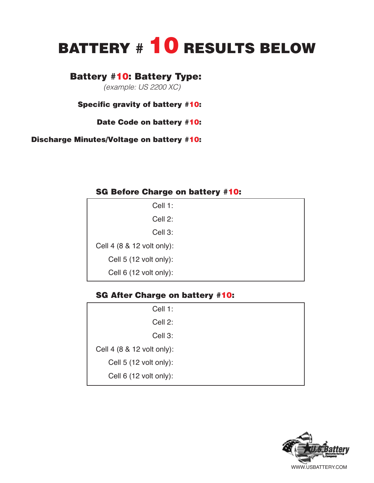# BATTERY # 10 RESULTS BELOW

## Battery #10: Battery Type:

(example: US 2200 XC)

Specific gravity of battery #10:

Date Code on battery #10:

Discharge Minutes/Voltage on battery #10:

#### SG Before Charge on battery #10:

| Cell 1:                    |
|----------------------------|
| Cell 2:                    |
| Cell 3:                    |
| Cell 4 (8 & 12 volt only): |
| Cell 5 (12 volt only):     |
| Cell 6 (12 volt only):     |

### SG After Charge on battery #10:

| Cell 1:                    |  |
|----------------------------|--|
| Cell 2:                    |  |
| Cell 3:                    |  |
| Cell 4 (8 & 12 volt only): |  |
| Cell 5 (12 volt only):     |  |
| Cell 6 (12 volt only):     |  |
|                            |  |

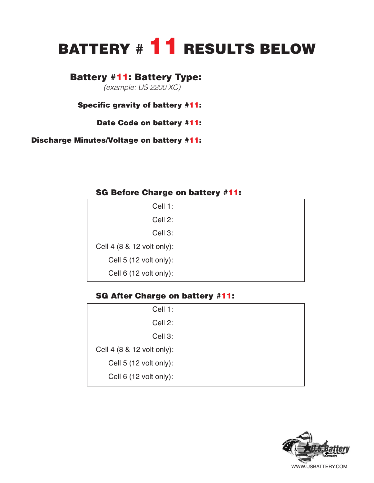# BATTERY # 11 RESULTS BELOW

### Battery #11: Battery Type:

(example: US 2200 XC)

Specific gravity of battery #11:

Date Code on battery #11:

Discharge Minutes/Voltage on battery #11:

#### SG Before Charge on battery #11:

| Cell 1:                    |
|----------------------------|
| Cell 2:                    |
| Cell 3:                    |
| Cell 4 (8 & 12 volt only): |
| Cell 5 (12 volt only):     |
| Cell 6 (12 volt only):     |

#### SG After Charge on battery #11:

| Cell 1:                    |  |
|----------------------------|--|
| Cell 2:                    |  |
| Cell 3:                    |  |
| Cell 4 (8 & 12 volt only): |  |
| Cell 5 (12 volt only):     |  |
| Cell 6 (12 volt only):     |  |
|                            |  |